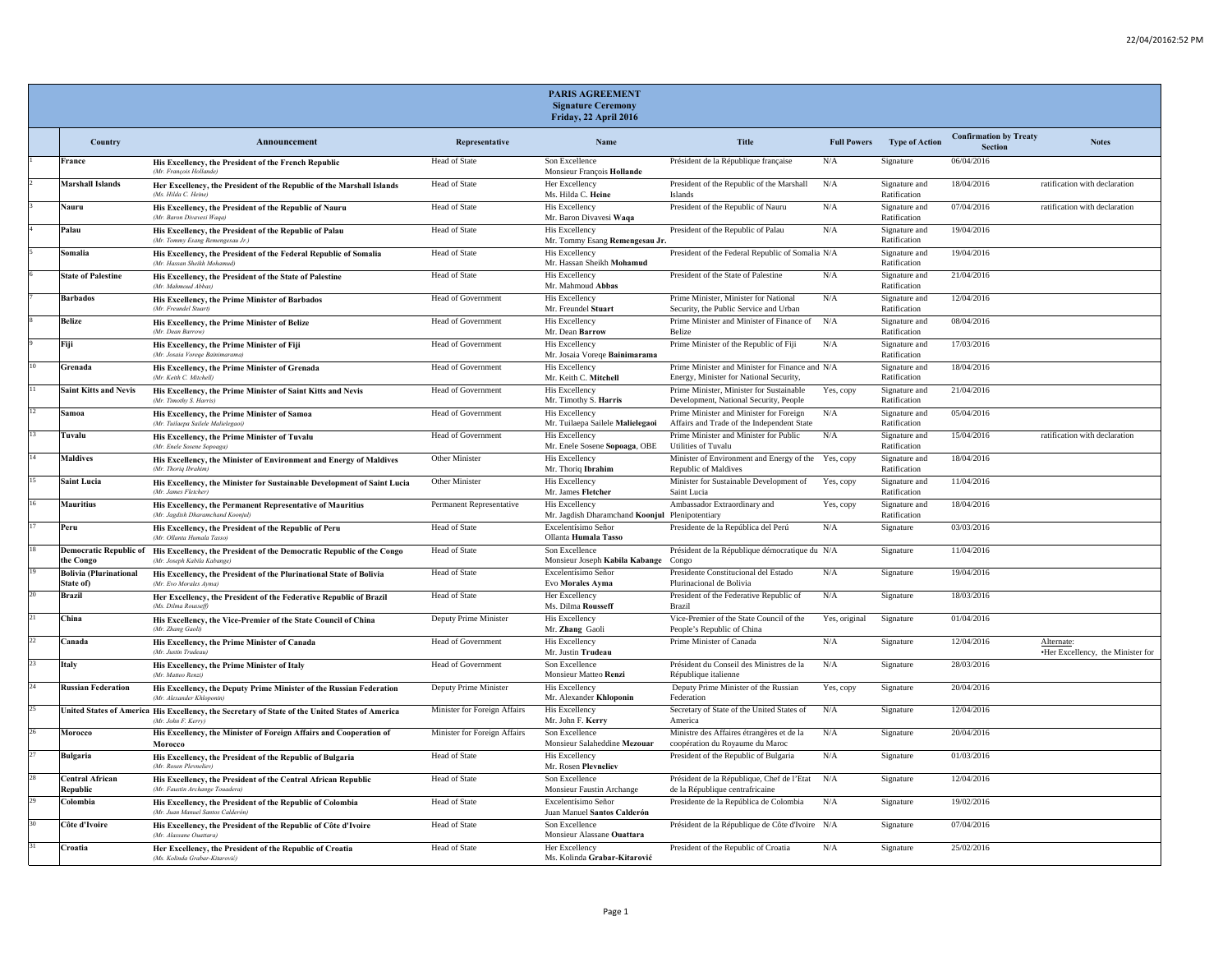|    |                                            |                                                                                                                             |                              | PARIS AGREEMENT<br><b>Signature Ceremony</b><br>Friday, 22 April 2016    |                                                                                            |                    |                               |                                          |                                                |
|----|--------------------------------------------|-----------------------------------------------------------------------------------------------------------------------------|------------------------------|--------------------------------------------------------------------------|--------------------------------------------------------------------------------------------|--------------------|-------------------------------|------------------------------------------|------------------------------------------------|
|    | Country                                    | Announcement                                                                                                                | Representative               | Name                                                                     | Title                                                                                      | <b>Full Powers</b> | Type of Action                | <b>Confirmation by Treaty</b><br>Section | <b>Notes</b>                                   |
|    | France                                     | His Excellency, the President of the French Republic<br>(Mr. Francois Hollande                                              | Head of State                | Son Excellence<br>Monsieur François Hollande                             | Président de la République française                                                       | N/A                | Signature                     | 06/04/2016                               |                                                |
|    | <b>Marshall Islands</b>                    | Her Excellency, the President of the Republic of the Marshall Islands<br>(Ms. Hilda C. Heine)                               | Head of State                | Her Excellency<br>Ms. Hilda C. Heine                                     | President of the Republic of the Marshall<br>Islands                                       | N/A                | Signature and<br>Ratification | 18/04/2016                               | ratification with declaration                  |
|    | Nauru                                      | His Excellency, the President of the Republic of Nauru<br>(Mr. Baron Divayesi Waga                                          | Head of State                | His Excellency<br>Mr. Baron Divavesi Waqa                                | President of the Republic of Nauru                                                         | N/A                | Signature and<br>Ratification | 07/04/2016                               | ratification with declaration                  |
|    | Palau                                      | His Excellency, the President of the Republic of Palau<br>(Mr. Tommy Esang Remengesau Jr.)                                  | Head of State                | His Excellency<br>Mr. Tommy Esang Remengesau Jr.                         | President of the Republic of Palau                                                         | N/A                | Signature and<br>Ratification | 19/04/2016                               |                                                |
|    | Somalia                                    | His Excellency, the President of the Federal Republic of Somalia<br>(Mr. Hassan Sheikh Mohamud)                             | Head of State                | <b>His Excellency</b><br>Mr. Hassan Sheikh Mohamud                       | President of the Federal Republic of Somalia N/A                                           |                    | Signature and<br>Ratification | 19/04/2016                               |                                                |
|    | <b>State of Palestine</b>                  | His Excellency, the President of the State of Palestine<br>(Mr. Mahmoud Abbas)                                              | Head of State                | His Excellency<br>Mr. Mahmoud Abbas                                      | President of the State of Palestine                                                        | N/A                | Signature and<br>Ratification | 21/04/2016                               |                                                |
|    | <b>Barbados</b>                            | His Excellency, the Prime Minister of Barbados<br>(Mr. Freundel Stuart)                                                     | Head of Government           | <b>His Excellency</b><br>Mr. Freundel Stuart                             | Prime Minister, Minister for National<br>Security, the Public Service and Urban            | N/A                | Signature and<br>Ratification | 12/04/2016                               |                                                |
|    | <b>Belize</b>                              | His Excellency, the Prime Minister of Belize<br>(Mr. Dean Barrow)                                                           | <b>Head of Government</b>    | <b>His Excellency</b><br>Mr. Dean Barrow                                 | Prime Minister and Minister of Finance of<br><b>Belize</b>                                 | N/A                | Signature and<br>Ratification | 08/04/2016                               |                                                |
|    | Fiji                                       | His Excellency, the Prime Minister of Fiji<br>(Mr. Josaia Voreae Bainii                                                     | Head of Government           | His Excellency<br>Mr. Josaia Vorege Bainimarama                          | Prime Minister of the Republic of Fiji                                                     | N/A                | Signature and<br>Ratification | 17/03/2016                               |                                                |
|    | Grenada                                    | His Excellency, the Prime Minister of Grenada<br>(Mr Keith C Mitchell)                                                      | <b>Head of Government</b>    | His Excellency<br>Mr. Keith C. Mitchell                                  | Prime Minister and Minister for Finance and N/A<br>Energy, Minister for National Security, |                    | Signature and<br>Ratification | 18/04/2016                               |                                                |
|    | <b>Saint Kitts and Nevis</b>               | His Excellency, the Prime Minister of Saint Kitts and Nevis<br>(Mr. Timothy S. Harris)                                      | Head of Government           | <b>His Excellency</b><br>Mr. Timothy S. Harris                           | Prime Minister, Minister for Sustainable<br>Development, National Security, People         | Yes, copy          | Signature and<br>Ratification | 21/04/2016                               |                                                |
|    | Samoa                                      | His Excellency, the Prime Minister of Samoa<br>(Mr. Tuilaepa Sailele Malielegaoi)                                           | Head of Government           | His Excellency<br>Mr. Tuilaepa Sailele Malielegaoi                       | Prime Minister and Minister for Foreign<br>Affairs and Trade of the Independent State      | N/A                | Signature and<br>Ratification | 05/04/2016                               |                                                |
|    | Tuvalu                                     | His Excellency, the Prime Minister of Tuvalu<br>(Mr. Enele Sosene Sopoaga)                                                  | Head of Government           | His Excellency<br>Mr. Enele Sosene Sopoaga, OBE                          | Prime Minister and Minister for Public<br><b>Utilities of Tuvalu</b>                       | N/A                | Signature and<br>Ratification | 15/04/2016                               | ratification with declaration                  |
|    | <b>Maldives</b>                            | His Excellency, the Minister of Environment and Energy of Maldives<br>(Mr. Thoria Ibrahim                                   | Other Minister               | His Excellency<br>Mr. Thoriq Ibrahim                                     | Minister of Environment and Energy of the<br><b>Republic of Maldives</b>                   | Yes, copy          | Signature and<br>Ratification | 18/04/2016                               |                                                |
|    | <b>Saint Lucia</b>                         | His Excellency, the Minister for Sustainable Development of Saint Lucia<br>(Mr. James Fletcher)                             | Other Minister               | <b>His Excellency</b><br>Mr. James Fletcher                              | Minister for Sustainable Development of<br>Saint Lucia                                     | Yes, copy          | Signature and<br>Ratification | 11/04/2016                               |                                                |
|    | <b>Mauritius</b>                           | His Excellency, the Permanent Representative of Mauritius<br>(Mr. Jagdish Dharamchand Koonjul)                              | Permanent Representative     | <b>His Excellency</b><br>Mr. Jagdish Dharamchand Koonjul Plenipotentiary | Ambassador Extraordinary and                                                               | Yes, copy          | Signature and<br>Ratification | 18/04/2016                               |                                                |
|    | Peru                                       | His Excellency, the President of the Republic of Peru<br>(Mr. Ollanta Humala Tasso,                                         | Head of State                | Excelentísimo Señor<br>Ollanta Humala Tasso                              | Presidente de la República del Perú                                                        | N/A                | Signature                     | 03/03/2016                               |                                                |
|    | the Congo                                  | Democratic Republic of His Excellency, the President of the Democratic Republic of the Congo<br>(Mr. Joseph Kabila Kabange) | Head of State                | Son Excellence<br>Monsieur Joseph Kabila Kabange Congo                   | Président de la République démocratique du N/A                                             |                    | Signature                     | 11/04/2016                               |                                                |
|    | <b>Bolivia (Plurinational</b><br>State of) | His Excellency, the President of the Plurinational State of Bolivia<br>(Mr. Evo Morales Ayma)                               | Head of State                | Excelentísimo Señor<br>Evo Morales Avma                                  | Presidente Constitucional del Estado<br>Plurinacional de Bolivia                           | N/A                | Signature                     | 19/04/2016                               |                                                |
|    | <b>Brazil</b>                              | Her Excellency, the President of the Federative Republic of Brazil<br>(Ms. Dilma Rousset                                    | Head of State                | Her Excellency<br>Ms. Dilma Rousseff                                     | President of the Federative Republic of<br>Brazil                                          | N/A                | Signature                     | 18/03/2016                               |                                                |
|    | China                                      | His Excellency, the Vice-Premier of the State Council of China<br>(Mr. Zhang Gaoli)                                         | Deputy Prime Minister        | His Excellency<br>Mr. Zhang Gaoli                                        | Vice-Premier of the State Council of the<br>People's Republic of China                     | Yes, original      | Signature                     | 01/04/2016                               |                                                |
| 22 | Canada                                     | His Excellency, the Prime Minister of Canada<br>(Mr. Justin Trudeau                                                         | <b>Head of Government</b>    | <b>His Excellency</b><br>Mr. Justin Trudeau                              | Prime Minister of Canada                                                                   | N/A                | Signature                     | 12/04/2016                               | Alternate<br>.Her Excellency, the Minister for |
| 23 | Italy                                      | His Excellency, the Prime Minister of Italy<br>(Mr. Matteo Renzi                                                            | Head of Government           | Son Excellence<br>Monsieur Matteo Renzi                                  | Président du Conseil des Ministres de la<br>République italienne                           | N/A                | Signature                     | 28/03/2016                               |                                                |
| 24 | <b>Russian Federation</b>                  | His Excellency, the Deputy Prime Minister of the Russian Federation<br>(Mr. Alexander Khloponin                             | Deputy Prime Minister        | His Excellency<br>Mr. Alexander Khloponin                                | Deputy Prime Minister of the Russian<br>Federation                                         | Yes, copy          | Signature                     | 20/04/2016                               |                                                |
|    |                                            | United States of America His Excellency, the Secretary of State of the United States of America<br>(Mr. John F. Kerry,      | Minister for Foreign Affairs | His Excellency<br>Mr. John F. Kerry                                      | Secretary of State of the United States of<br>America                                      | N/A                | Signature                     | 12/04/2016                               |                                                |
|    | Morocco                                    | His Excellency, the Minister of Foreign Affairs and Cooperation of<br>Morocco                                               | Minister for Foreign Affairs | Son Excellence<br>Monsieur Salaheddine Mezouar                           | Ministre des Affaires étrangères et de la<br>coopération du Royaume du Maroc               | N/A                | Signature                     | 20/04/2016                               |                                                |
|    | <b>Bulgaria</b>                            | His Excellency, the President of the Republic of Bulgaria<br>(Mr. Rosen Pleyneliev)                                         | Head of State                | His Excellency<br>Mr. Rosen Plevneliev                                   | President of the Republic of Bulgaria                                                      | N/A                | Signature                     | 01/03/2016                               |                                                |
| 28 | <b>Central African</b><br>Republic         | His Excellency, the President of the Central African Republic<br>(Mr. Faustin Archange Touadera)                            | Head of State                | Son Excellence<br>Monsieur Faustin Archange                              | Président de la République, Chef de l'Etat N/A<br>de la République centrafricaine          |                    | Signature                     | 12/04/2016                               |                                                |
|    | Colombia                                   | His Excellency, the President of the Republic of Colombia<br>(Mr. Juan Manuel Santos Calderón)                              | Head of State                | Excelentísimo Señor<br>Juan Manuel Santos Calderón                       | Presidente de la República de Colombia                                                     | N/A                | Signature                     | 19/02/2016                               |                                                |
|    | Côte d'Ivoire                              | His Excellency, the President of the Republic of Côte d'Ivoire<br>(Mr. Alassane Ouattara)                                   | Head of State                | Son Excellence<br>Monsieur Alassane Ouattara                             | Président de la République de Côte d'Ivoire N/A                                            |                    | Signature                     | 07/04/2016                               |                                                |
|    | Croatia                                    | Her Excellency, the President of the Republic of Croatia<br>(Ms. Kolinda Grabar-Kitarović)                                  | Head of State                | Her Excellency<br>Ms. Kolinda Grabar-Kitarović                           | President of the Republic of Croatia                                                       | N/A                | Signature                     | 25/02/2016                               |                                                |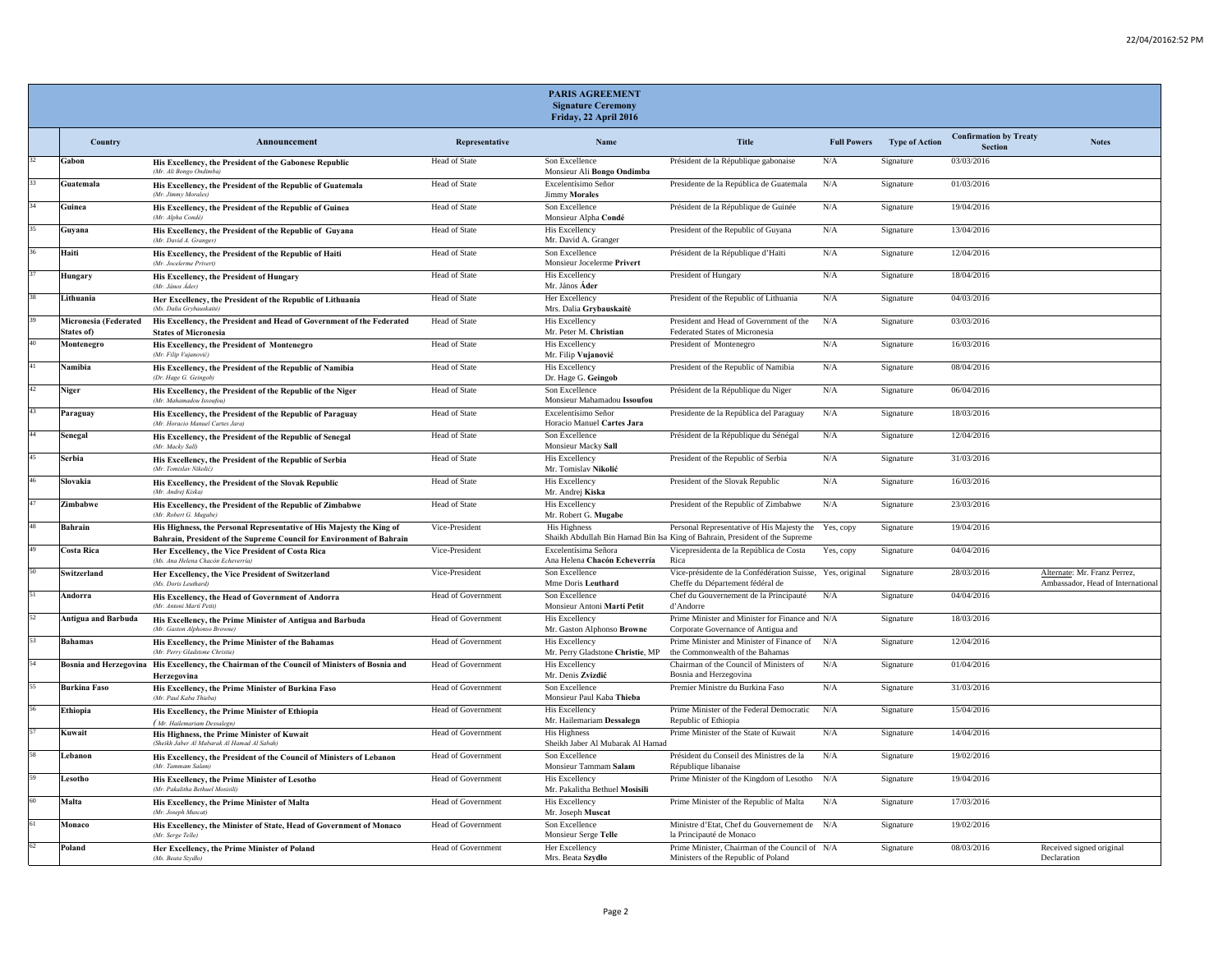|    |                                     |                                                                                                                                              |                           | <b>PARIS AGREEMENT</b><br><b>Signature Ceremony</b><br>Friday, 22 April 2016 |                                                                                                                           |                    |                       |                                          |                                                                   |
|----|-------------------------------------|----------------------------------------------------------------------------------------------------------------------------------------------|---------------------------|------------------------------------------------------------------------------|---------------------------------------------------------------------------------------------------------------------------|--------------------|-----------------------|------------------------------------------|-------------------------------------------------------------------|
|    | Country                             | Announcement                                                                                                                                 | Representative            | Name                                                                         | <b>Title</b>                                                                                                              | <b>Full Powers</b> | <b>Type of Action</b> | <b>Confirmation by Treaty</b><br>Section | <b>Notes</b>                                                      |
|    | Gabon                               | His Excellency, the President of the Gabonese Republic<br>(Mr. Ali Bongo Ondimba)                                                            | Head of State             | Son Excellence<br>Monsieur Ali Bongo Ondimba                                 | Président de la République gabonaise                                                                                      | N/A                | Signature             | 03/03/2016                               |                                                                   |
|    | Guatemala                           | His Excellency, the President of the Republic of Guatemala<br>(Mr. Jimmy Morales)                                                            | Head of State             | Excelentísimo Señor<br><b>Jimmy Morales</b>                                  | Presidente de la República de Guatemala                                                                                   | N/A                | Signature             | 01/03/2016                               |                                                                   |
|    | Guinea                              | His Excellency, the President of the Republic of Guinea<br>(Mr. Alpha Condé                                                                  | Head of State             | Son Excellence<br>Monsieur Alpha Condé                                       | Président de la République de Guinée                                                                                      | N/A                | Signature             | 19/04/2016                               |                                                                   |
|    | Guyana                              | His Excellency, the President of the Republic of Guyana<br>(Mr. David A. Granger)                                                            | Head of State             | His Excellency<br>Mr. David A. Granger                                       | President of the Republic of Guyana                                                                                       | N/A                | Signature             | 13/04/2016                               |                                                                   |
|    | Haiti                               | His Excellency, the President of the Republic of Haiti<br>(Mr. Jocelerme Privert)                                                            | <b>Head of State</b>      | Son Excellence<br>Monsieur Jocelerme Privert                                 | Président de la République d'Haïti                                                                                        | N/A                | Signature             | 12/04/2016                               |                                                                   |
|    | Hungary                             | His Excellency, the President of Hungary<br>(Mr. János Áder)                                                                                 | Head of State             | His Excellency<br>Mr. János Áder                                             | President of Hungary                                                                                                      | N/A                | Signature             | 18/04/2016                               |                                                                   |
|    | Lithuania                           | Her Excellency, the President of the Republic of Lithuania<br>(Ms. Dalia Grybauskaitė)                                                       | Head of State             | Her Excellency<br>Mrs. Dalia Grybauskaitė                                    | President of the Republic of Lithuania                                                                                    | N/A                | Signature             | 04/03/2016                               |                                                                   |
|    | Micronesia (Federated<br>States of) | His Excellency, the President and Head of Government of the Federated<br><b>States of Micronesia</b>                                         | Head of State             | His Excellency<br>Mr. Peter M. Christian                                     | President and Head of Government of the<br>Federated States of Micronesia                                                 | N/A                | Signature             | 03/03/2016                               |                                                                   |
|    | Montenegro                          | His Excellency, the President of Montenegro<br>(Mr. Filip Vujanović)                                                                         | Head of State             | <b>His Excellency</b><br>Mr. Filip Vujanović                                 | President of Montenegro                                                                                                   | N/A                | Signature             | 16/03/2016                               |                                                                   |
|    | Namibia                             | His Excellency, the President of the Republic of Namibia<br>(Dr. Hage G. Geingob)                                                            | Head of State             | His Excellency<br>Dr. Hage G. Geingob                                        | President of the Republic of Namibia                                                                                      | N/A                | Signature             | 08/04/2016                               |                                                                   |
| 42 | Niger                               | His Excellency, the President of the Republic of the Niger<br>(Mr. Mahamadou Issoufou                                                        | Head of State             | Son Excellence<br>Monsieur Mahamadou Issoufou                                | Président de la République du Niger                                                                                       | N/A                | Signature             | 06/04/2016                               |                                                                   |
|    | Paraguay                            | His Excellency, the President of the Republic of Paraguay<br>(Mr. Horacio Manuel Cartes Jara)                                                | <b>Head of State</b>      | Excelentísimo Señor<br>Horacio Manuel Cartes Jara                            | Presidente de la República del Paraguay                                                                                   | N/A                | Signature             | 18/03/2016                               |                                                                   |
|    | Senegal                             | His Excellency, the President of the Republic of Senegal<br>(Mr. Macky Sall)                                                                 | Head of State             | Son Excellence<br>Monsieur Macky Sall                                        | Président de la République du Sénégal                                                                                     | N/A                | Signature             | 12/04/2016                               |                                                                   |
|    | Serbia                              | His Excellency, the President of the Republic of Serbia<br>(Mr. Tomislav Nikolić,                                                            | Head of State             | His Excellency<br>Mr. Tomislav Nikolić                                       | President of the Republic of Serbia                                                                                       | N/A                | Signature             | 31/03/2016                               |                                                                   |
|    | Slovakia                            | His Excellency, the President of the Slovak Republic<br>(Mr. Andrei Kiska)                                                                   | Head of State             | His Excellency<br>Mr. Andrej Kiska                                           | President of the Slovak Republic                                                                                          | N/A                | Signature             | 16/03/2016                               |                                                                   |
|    | Zimbabwe                            | His Excellency, the President of the Republic of Zimbabwe<br>(Mr. Robert G. Mugabe)                                                          | Head of State             | His Excellency<br>Mr. Robert G. Mugabe                                       | President of the Republic of Zimbabwe                                                                                     | N/A                | Signature             | 23/03/2016                               |                                                                   |
|    | Bahrain                             | His Highness, the Personal Representative of His Majesty the King of<br>Bahrain, President of the Supreme Council for Environment of Bahrain | Vice-President            | His Highness                                                                 | Personal Representative of His Majesty the<br>Shaikh Abdullah Bin Hamad Bin Isa King of Bahrain, President of the Supreme | Yes, copy          | Signature             | 19/04/2016                               |                                                                   |
|    | <b>Costa Rica</b>                   | Her Excellency, the Vice President of Costa Rica<br>(Ms. Ana Helena Chacón Echeverría)                                                       | Vice-President            | Excelentísima Señora<br>Ana Helena Chacón Echeverría                         | Vicepresidenta de la República de Costa<br>Rica                                                                           | Yes, copy          | Signature             | 04/04/2016                               |                                                                   |
|    | Switzerland                         | Her Excellency, the Vice President of Switzerland<br>(Ms. Doris Leuthard)                                                                    | Vice-President            | Son Excellence<br>Mme Doris Leuthard                                         | Vice-présidente de la Confédération Suisse, Yes, original<br>Cheffe du Département fédéral de                             |                    | Signature             | 28/03/2016                               | Alternate: Mr. Franz Perrez,<br>Ambassador, Head of International |
|    | Andorra                             | His Excellency, the Head of Government of Andorra<br>(Mr. Antoni Martí Petit                                                                 | Head of Government        | Son Excellence<br>Monsieur Antoni Martí Petit                                | Chef du Gouvernement de la Principauté<br>d'Andorre                                                                       | N/A                | Signature             | 04/04/2016                               |                                                                   |
|    | <b>Antigua and Barbuda</b>          | His Excellency, the Prime Minister of Antigua and Barbuda<br>(Mr. Gaston Alphonso Browne)                                                    | Head of Government        | His Excellency<br>Mr. Gaston Alphonso Browne                                 | Prime Minister and Minister for Finance and N/A<br>Corporate Governance of Antigua and                                    |                    | Signature             | 18/03/2016                               |                                                                   |
|    | <b>Bahamas</b>                      | His Excellency, the Prime Minister of the Bahamas<br>(Mr. Perry Gladstone Christie)                                                          | <b>Head of Government</b> | <b>His Excellency</b><br>Mr. Perry Gladstone Christie, MP                    | Prime Minister and Minister of Finance of N/A<br>the Commonwealth of the Bahamas                                          |                    | Signature             | 12/04/2016                               |                                                                   |
|    |                                     | Bosnia and Herzegovina His Excellency, the Chairman of the Council of Ministers of Bosnia and<br>Herzegovina                                 | <b>Head of Government</b> | <b>His Excellency</b><br>Mr. Denis Zvizdić                                   | Chairman of the Council of Ministers of<br>Bosnia and Herzegovina                                                         | N/A                | Signature             | 01/04/2016                               |                                                                   |
|    | <b>Burkina Faso</b>                 | His Excellency, the Prime Minister of Burkina Faso<br>(Mr. Paul Kaba Thieba)                                                                 | Head of Government        | Son Excellence<br>Monsieur Paul Kaba Thieba                                  | Premier Ministre du Burkina Faso                                                                                          | N/A                | Signature             | 31/03/2016                               |                                                                   |
|    | Ethiopia                            | His Excellency, the Prime Minister of Ethiopia<br>(Mr. Hailemariam Dessalegn)                                                                | Head of Government        | His Excellency<br>Mr. Hailemariam Dessalegn                                  | Prime Minister of the Federal Democratic<br>Republic of Ethiopia                                                          | N/A                | Signature             | 15/04/2016                               |                                                                   |
|    | Kuwait                              | His Highness, the Prime Minister of Kuwait<br>(Sheikh Jaber Al Mubarak Al Hamad Al Sabah)                                                    | <b>Head of Government</b> | <b>His Highness</b><br>Sheikh Jaber Al Mubarak Al Hamad                      | Prime Minister of the State of Kuwait                                                                                     | N/A                | Signature             | 14/04/2016                               |                                                                   |
|    | Lebanon                             | His Excellency, the President of the Council of Ministers of Lebanon<br>(Mr. Tammam Salam)                                                   | Head of Government        | Son Excellence<br>Monsieur Tammam Salam                                      | Président du Conseil des Ministres de la<br>République libanaise                                                          | N/A                | Signature             | 19/02/2016                               |                                                                   |
|    | Lesotho                             | His Excellency, the Prime Minister of Lesotho<br>(Mr. Pakalitha Bethuel Mosisili                                                             | Head of Government        | His Excellency<br>Mr. Pakalitha Bethuel Mosisili                             | Prime Minister of the Kingdom of Lesotho                                                                                  | N/A                | Signature             | 19/04/2016                               |                                                                   |
|    | Malta                               | His Excellency, the Prime Minister of Malta<br>(Mr. Joseph Muscat)                                                                           | Head of Government        | <b>His Excellency</b><br>Mr. Joseph Muscat                                   | Prime Minister of the Republic of Malta                                                                                   | N/A                | Signature             | 17/03/2016                               |                                                                   |
|    | Monaco                              | His Excellency, the Minister of State, Head of Government of Monaco<br>(Mr. Serge Telle)                                                     | Head of Government        | Son Excellence<br>Monsieur Serge Telle                                       | Ministre d'Etat, Chef du Gouvernement de N/A<br>la Principauté de Monaco                                                  |                    | Signature             | 19/02/2016                               |                                                                   |
|    | Poland                              | Her Excellency, the Prime Minister of Poland<br>(Ms. Beata Szydło)                                                                           | Head of Government        | Her Excellency<br>Mrs. Beata Szydło                                          | Prime Minister, Chairman of the Council of N/A<br>Ministers of the Republic of Poland                                     |                    | Signature             | 08/03/2016                               | Received signed original<br>Declaration                           |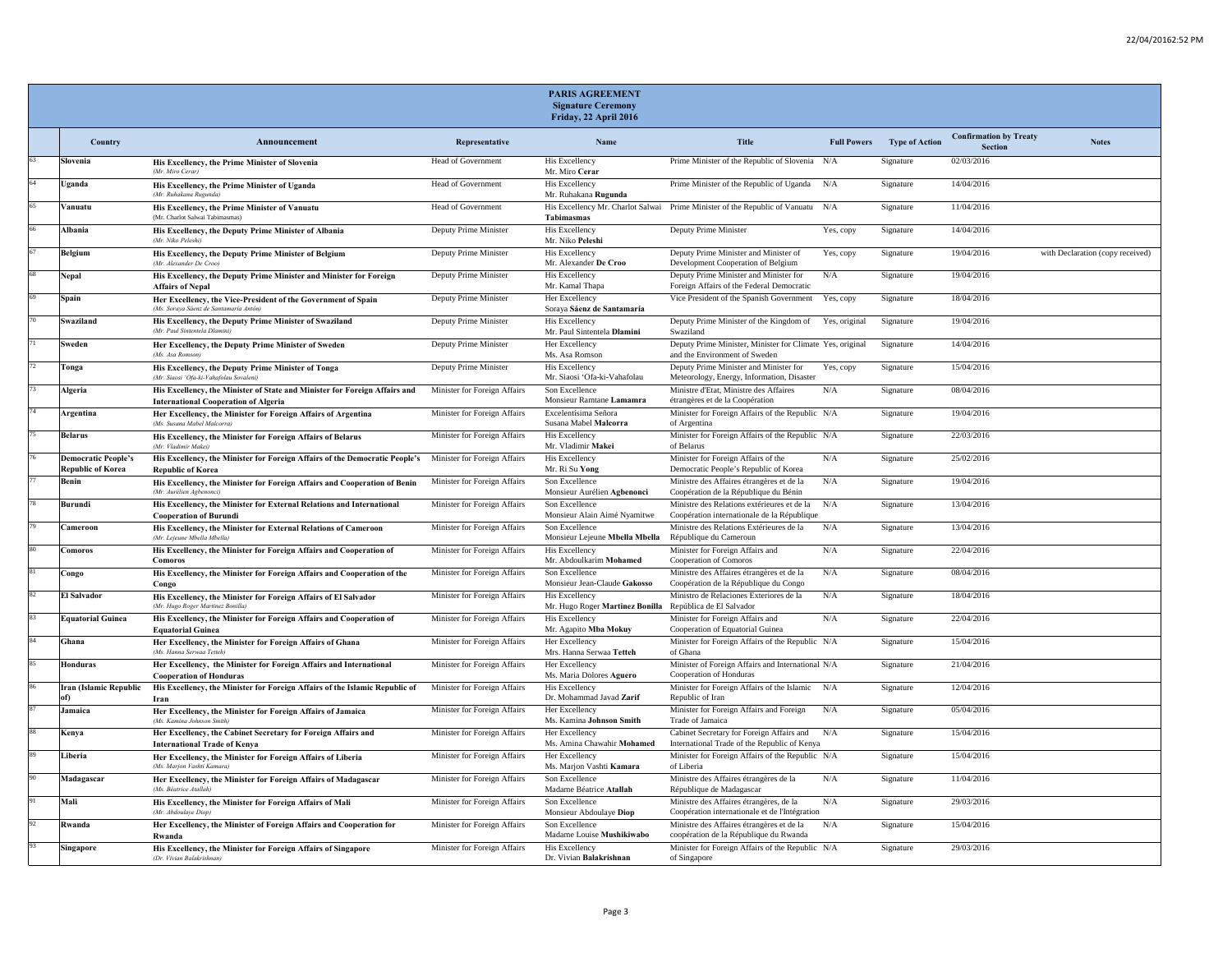|                                                        |                                                                                                                           |                              | PARIS AGREEMENT<br><b>Signature Ceremony</b><br>Friday, 22 April 2016      |                                                                                            |                    |                       |                                                 |                                  |
|--------------------------------------------------------|---------------------------------------------------------------------------------------------------------------------------|------------------------------|----------------------------------------------------------------------------|--------------------------------------------------------------------------------------------|--------------------|-----------------------|-------------------------------------------------|----------------------------------|
| Country                                                | Announcement                                                                                                              | Representative               | Name                                                                       | <b>Title</b>                                                                               | <b>Full Powers</b> | <b>Type of Action</b> | <b>Confirmation by Treaty</b><br><b>Section</b> | <b>Notes</b>                     |
| Slovenia                                               | His Excellency, the Prime Minister of Slovenia<br>(Mr. Miro Cerar)                                                        | <b>Head of Government</b>    | <b>His Excellency</b><br>Mr. Miro Cerar                                    | Prime Minister of the Republic of Slovenia N/A                                             |                    | Signature             | 02/03/2016                                      |                                  |
| Uganda                                                 | His Excellency, the Prime Minister of Uganda<br>(Mr. Ruhakana Rugunda)                                                    | Head of Government           | <b>His Excellency</b><br>Mr. Ruhakana Rugunda                              | Prime Minister of the Republic of Uganda N/A                                               |                    | Signature             | 14/04/2016                                      |                                  |
| Vanuatu                                                | His Excellency, the Prime Minister of Vanuatu<br>(Mr. Charlot Salwai Tabimasm                                             | Head of Government           | Tabimasmas                                                                 | His Excellency Mr. Charlot Salwai Prime Minister of the Republic of Vanuatu                | N/A                | Signature             | 11/04/2016                                      |                                  |
| Albania                                                | His Excellency, the Deputy Prime Minister of Albania<br>(Mr. Niko Peleshi)                                                | Deputy Prime Minister        | His Excellency<br>Mr. Niko Peleshi                                         | Deputy Prime Minister                                                                      | Yes, copy          | Signature             | 14/04/2016                                      |                                  |
| Belgium                                                | His Excellency, the Deputy Prime Minister of Belgium<br>(Mr. Alexander De Croo)                                           | Deputy Prime Minister        | <b>His Excellency</b><br>Mr. Alexander De Croo                             | Deputy Prime Minister and Minister of<br>Development Cooperation of Belgium                | Yes, copy          | Signature             | 19/04/2016                                      | with Declaration (copy received) |
| Nepal                                                  | His Excellency, the Deputy Prime Minister and Minister for Foreign<br><b>Affairs of Nepal</b>                             | Deputy Prime Minister        | His Excellency<br>Mr. Kamal Thapa                                          | Deputy Prime Minister and Minister for<br>Foreign Affairs of the Federal Democratic        | N/A                | Signature             | 19/04/2016                                      |                                  |
| Spain                                                  | Her Excellency, the Vice-President of the Government of Spain<br>(Ms. Soraya Sáenz de Santamaria Antón)                   | Deputy Prime Minister        | Her Excellency<br>Soraya Sáenz de Santamaría                               | Vice President of the Spanish Government                                                   | Yes, copy          | Signature             | 18/04/2016                                      |                                  |
| Swaziland                                              | His Excellency, the Deputy Prime Minister of Swaziland<br>(Mr. Paul Sintentela Dlamini)                                   | Deputy Prime Minister        | <b>His Excellency</b><br>Mr. Paul Sintentela Dlamini                       | Deputy Prime Minister of the Kingdom of<br>Swaziland                                       | Yes, original      | Signature             | 19/04/2016                                      |                                  |
| Sweden                                                 | Her Excellency, the Deputy Prime Minister of Sweden<br>Als. Asa Romso                                                     | Deputy Prime Minister        | Her Excellency<br>Ms. Asa Romson                                           | Deputy Prime Minister, Minister for Climate Yes, original<br>and the Environment of Sweden |                    | Signature             | 14/04/2016                                      |                                  |
| Tonga                                                  | His Excellency, the Deputy Prime Minister of Tonga<br>(Mr. Siaosi 'Ofa-ki-Vahafolay Sovaleni)                             | Deputy Prime Minister        | His Excellency<br>Mr. Siaosi 'Ofa-ki-Vahafolau                             | Deputy Prime Minister and Minister for<br>Meteorology, Energy, Information, Disaster       | Yes, copy          | Signature             | 15/04/2016                                      |                                  |
| Algeria                                                | His Excellency, the Minister of State and Minister for Foreign Affairs and<br><b>International Cooperation of Algeria</b> | Minister for Foreign Affairs | Son Excellence<br>Monsieur Ramtane Lamamra                                 | Ministre d'Etat, Ministre des Affaires<br>étrangères et de la Coopération                  | N/A                | Signature             | 08/04/2016                                      |                                  |
| Argentina                                              | Her Excellency, the Minister for Foreign Affairs of Argentina<br>(Ms. Susana Mahel Malcorra)                              | Minister for Foreign Affairs | Excelentísima Señora<br>Susana Mabel Malcorra                              | Minister for Foreign Affairs of the Republic N/A<br>of Argentina                           |                    | Signature             | 19/04/2016                                      |                                  |
| <b>Belarus</b>                                         | His Excellency, the Minister for Foreign Affairs of Belarus<br>(Mr. Vladimir Makei)                                       | Minister for Foreign Affairs | His Excellency<br>Mr. Vladimir Makei                                       | Minister for Foreign Affairs of the Republic N/A<br>of Belarus                             |                    | Signature             | 22/03/2016                                      |                                  |
| <b>Democratic People's</b><br><b>Republic of Korea</b> | His Excellency, the Minister for Foreign Affairs of the Democratic People's<br><b>Republic of Korea</b>                   | Minister for Foreign Affairs | His Excellency<br>Mr. Ri Su Yong                                           | Minister for Foreign Affairs of the<br>Democratic People's Republic of Korea               | N/A                | Signature             | 25/02/2016                                      |                                  |
| Benin                                                  | His Excellency, the Minister for Foreign Affairs and Cooperation of Benin<br>(Mr. Aurélien Agbenonci)                     | Minister for Foreign Affairs | Son Excellence<br>Monsieur Aurélien Agbenonci                              | Ministre des Affaires étrangères et de la<br>Coopération de la République du Bénin         | N/A                | Signature             | 19/04/2016                                      |                                  |
| Burundi                                                | His Excellency, the Minister for External Relations and International<br><b>Cooperation of Burundi</b>                    | Minister for Foreign Affairs | Son Excellence<br>Monsieur Alain Aimé Nyamitwe                             | Ministre des Relations extérieures et de la<br>Coopération internationale de la République | N/A                | Signature             | 13/04/2016                                      |                                  |
| Cameroon                                               | His Excellency, the Minister for External Relations of Cameroon<br>(Mr. Lejeune Mbella Mbella)                            | Minister for Foreign Affairs | Son Excellence<br>Monsieur Lejeune Mbella Mbella                           | Ministre des Relations Extérieures de la<br>République du Cameroun                         | N/A                | Signature             | 13/04/2016                                      |                                  |
| Comoros                                                | His Excellency, the Minister for Foreign Affairs and Cooperation of<br><b>Comoros</b>                                     | Minister for Foreign Affairs | His Excellency<br>Mr. Abdoulkarim Mohamed                                  | Minister for Foreign Affairs and<br>Cooperation of Comoros                                 | N/A                | Signature             | 22/04/2016                                      |                                  |
| Congo                                                  | His Excellency, the Minister for Foreign Affairs and Cooperation of the<br>Congo                                          | Minister for Foreign Affairs | Son Excellence<br>Monsieur Jean-Claude Gakosso                             | Ministre des Affaires étrangères et de la<br>Coopération de la République du Congo         | N/A                | Signature             | 08/04/2016                                      |                                  |
| El Salvador                                            | His Excellency, the Minister for Foreign Affairs of El Salvador<br>(Mr. Hugo Roger Martinez Bonillo                       | Minister for Foreign Affairs | His Excellency<br>Mr. Hugo Roger Martinez Bonilla República de El Salvador | Ministro de Relaciones Exteriores de la                                                    | N/A                | Signature             | 18/04/2016                                      |                                  |
| <b>Equatorial Guinea</b>                               | His Excellency, the Minister for Foreign Affairs and Cooperation of<br><b>Equatorial Guinea</b>                           | Minister for Foreign Affairs | His Excellency<br>Mr. Agapito Mba Mokuy                                    | Minister for Foreign Affairs and<br>Cooperation of Equatorial Guinea                       | N/A                | Signature             | 22/04/2016                                      |                                  |
| Ghana                                                  | Her Excellency, the Minister for Foreign Affairs of Ghana<br>(Ms. Hanna Serwaa Tetteh)                                    | Minister for Foreign Affairs | Her Excellency<br>Mrs. Hanna Serwaa Tetteh                                 | Minister for Foreign Affairs of the Republic N/A<br>of Ghana                               |                    | Signature             | 15/04/2016                                      |                                  |
| Honduras                                               | Her Excellency, the Minister for Foreign Affairs and International<br><b>Cooperation of Honduras</b>                      | Minister for Foreign Affairs | Her Excellency<br>Ms. Maria Dolores Aguero                                 | Minister of Foreign Affairs and International N/A<br>Cooperation of Honduras               |                    | Signature             | 21/04/2016                                      |                                  |
| Iran (Islamic Republic<br>of)                          | His Excellency, the Minister for Foreign Affairs of the Islamic Republic of<br>Iran                                       | Minister for Foreign Affairs | His Excellency<br>Dr. Mohammad Javad Zarif                                 | Minister for Foreign Affairs of the Islamic N/A<br>Republic of Iran                        |                    | Signature             | 12/04/2016                                      |                                  |
| Jamaica                                                | Her Excellency, the Minister for Foreign Affairs of Jamaica<br>(Ms. Kamina Johnson Smith)                                 | Minister for Foreign Affairs | Her Excellency<br>Ms. Kamina Johnson Smith                                 | Minister for Foreign Affairs and Foreign<br>Trade of Jamaica                               | N/A                | Signature             | 05/04/2016                                      |                                  |
| Kenya                                                  | Her Excellency, the Cabinet Secretary for Foreign Affairs and<br><b>International Trade of Kenya</b>                      | Minister for Foreign Affairs | Her Excellency<br>Ms. Amina Chawahir Mohamed                               | Cabinet Secretary for Foreign Affairs and<br>International Trade of the Republic of Kenya  | N/A                | Signature             | 15/04/2016                                      |                                  |
| Liberia                                                | Her Excellency, the Minister for Foreign Affairs of Liberia<br>(Ms. Marion Vashti Kamara)                                 | Minister for Foreign Affairs | Her Excellency<br>Ms. Marjon Vashti Kamara                                 | Minister for Foreign Affairs of the Republic N/A<br>of Liberia                             |                    | Signature             | 15/04/2016                                      |                                  |
| Madagascar                                             | Her Excellency, the Minister for Foreign Affairs of Madagascar<br>(Ms. Béatrice Atallah                                   | Minister for Foreign Affairs | Son Excellence<br>Madame Béatrice Atallah                                  | Ministre des Affaires étrangères de la<br>République de Madagascar                         | N/A                | Signature             | 11/04/2016                                      |                                  |
| Mali                                                   | His Excellency, the Minister for Foreign Affairs of Mali<br>(Mr. Abdoulaye Diop)                                          | Minister for Foreign Affairs | Son Excellence<br>Monsieur Abdoulaye Diop                                  | Ministre des Affaires étrangères, de la<br>Coopération internationale et de l'Intégration  | $\rm N/A$          | Signature             | 29/03/2016                                      |                                  |
| Rwanda                                                 | Her Excellency, the Minister of Foreign Affairs and Cooperation for<br>Rwanda                                             | Minister for Foreign Affairs | Son Excellence<br>Madame Louise Mushikiwabo                                | Ministre des Affaires étrangères et de la<br>coopération de la République du Rwanda        | N/A                | Signature             | 15/04/2016                                      |                                  |
| <b>Singapore</b>                                       | His Excellency, the Minister for Foreign Affairs of Singapore<br>(Dr. Vivian Balakrishnan                                 | Minister for Foreign Affairs | His Excellency<br>Dr. Vivian Balakrishnan                                  | Minister for Foreign Affairs of the Republic N/A<br>of Singapore                           |                    | Signature             | 29/03/2016                                      |                                  |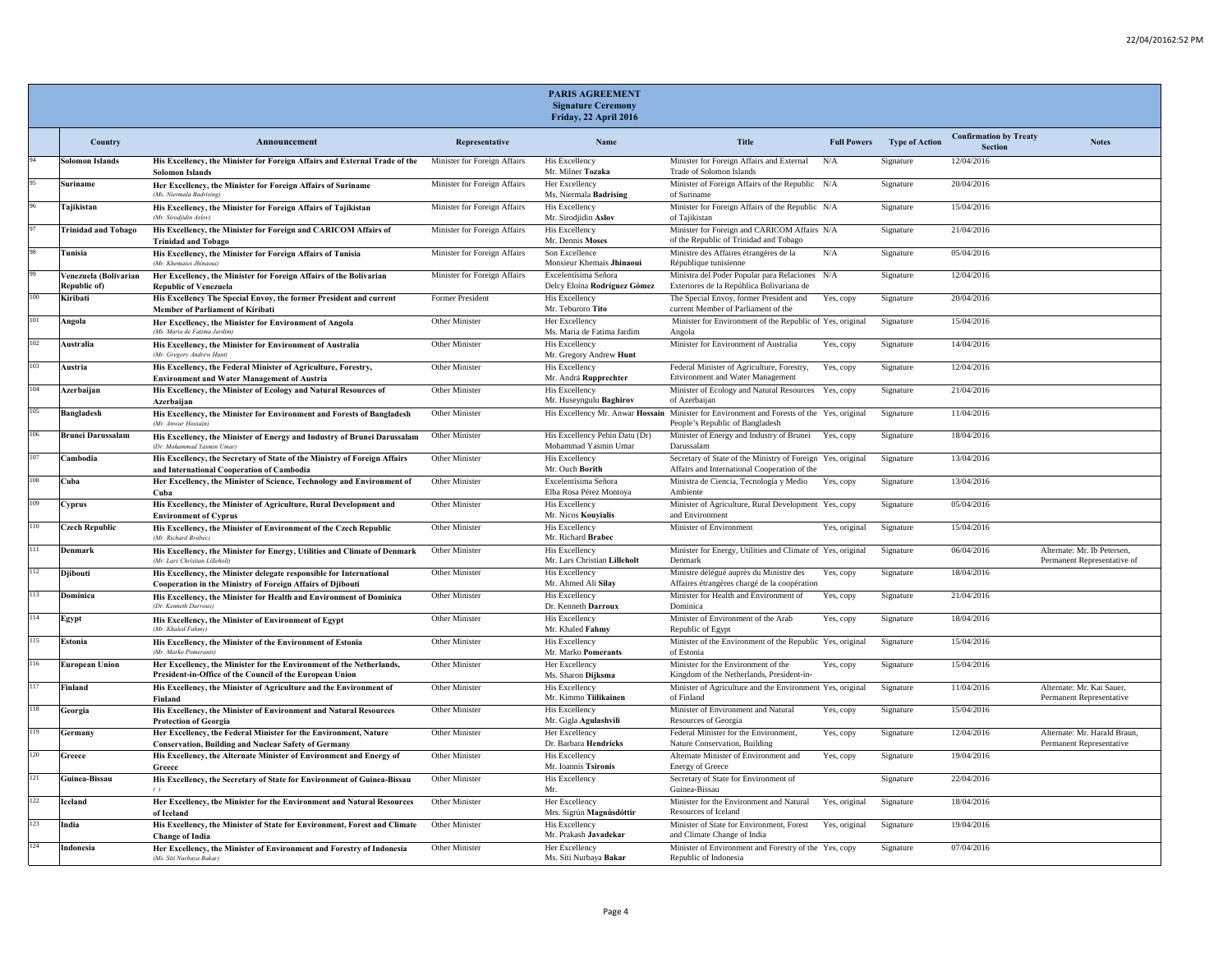|     |                                       |                                                                                                                                   |                              | <b>PARIS AGREEMENT</b><br><b>Signature Ceremony</b><br>Friday, 22 April 2016 |                                                                                                                               |               |                                   |                                          |                                                            |
|-----|---------------------------------------|-----------------------------------------------------------------------------------------------------------------------------------|------------------------------|------------------------------------------------------------------------------|-------------------------------------------------------------------------------------------------------------------------------|---------------|-----------------------------------|------------------------------------------|------------------------------------------------------------|
|     | Country                               | Announcement                                                                                                                      | Representative               | Name                                                                         | Title                                                                                                                         |               | <b>Full Powers</b> Type of Action | <b>Confirmation by Treaty</b><br>Section | <b>Notes</b>                                               |
|     | <b>Solomon Islands</b>                | His Excellency, the Minister for Foreign Affairs and External Trade of the<br><b>Solomon Islands</b>                              | Minister for Foreign Affairs | His Excellency<br>Mr. Milner Tozaka                                          | Minister for Foreign Affairs and External<br>Trade of Solomon Islands                                                         | N/A           | Signature                         | 12/04/2016                               |                                                            |
|     | Suriname                              | Her Excellency, the Minister for Foreign Affairs of Suriname<br>(Ms. Niermala Badrising                                           | Minister for Foreign Affairs | Her Excellency<br>Ms. Niermala Badrising                                     | Minister of Foreign Affairs of the Republic N/A<br>of Suriname                                                                |               | Signature                         | 20/04/2016                               |                                                            |
|     | Tajikistan                            | His Excellency, the Minister for Foreign Affairs of Tajikistan<br>(Mr. Sirodiidin Aslov)                                          | Minister for Foreign Affairs | His Excellency<br>Mr. Sirodjidin Aslov                                       | Minister for Foreign Affairs of the Republic N/A<br>of Tajikistan                                                             |               | Signature                         | 15/04/2016                               |                                                            |
|     | <b>Trinidad and Tobago</b>            | His Excellency, the Minister for Foreign and CARICOM Affairs of<br><b>Trinidad and Tobago</b>                                     | Minister for Foreign Affairs | His Excellency<br>Mr. Dennis Moses                                           | Minister for Foreign and CARICOM Affairs N/A<br>of the Republic of Trinidad and Tobago                                        |               | Signature                         | 21/04/2016                               |                                                            |
|     | Tunisia                               | His Excellency, the Minister for Foreign Affairs of Tunisia<br><b>Mr</b> Khemaies Jhinaou                                         | Minister for Foreign Affairs | Son Excellence<br>Monsieur Khemais Jhinaoui                                  | Ministre des Affaires étrangères de la<br>République tunisienne                                                               | N/A           | Signature                         | 05/04/2016                               |                                                            |
|     | Venezuela (Bolivarian<br>Republic of) | Her Excellency, the Minister for Foreign Affairs of the Bolivarian<br><b>Republic of Venezuela</b>                                | Minister for Foreign Affairs | Excelentísima Señora<br>Delcy Eloína Rodríguez Gómez                         | Ministra del Poder Popular para Relaciones N/A<br>Exteriores de la República Bolivariana de                                   |               | Signature                         | 12/04/2016                               |                                                            |
| 100 | Kiribati                              | His Excellency The Special Envoy, the former President and current<br>Member of Parliament of Kiribati                            | Former President             | His Excellency<br>Mr. Teburoro Tito                                          | The Special Envoy, former President and<br>current Member of Parliament of the                                                | Yes, copy     | Signature                         | 20/04/2016                               |                                                            |
| 101 | Angola                                | Her Excellency, the Minister for Environment of Angola<br>(Ms. Maria de Fatima Jardim)                                            | Other Minister               | Her Excellency<br>Ms. Maria de Fatima Jardim                                 | Minister for Environment of the Republic of Yes, original<br>Angola                                                           |               | Signature                         | 15/04/2016                               |                                                            |
| 102 | <b>Australia</b>                      | His Excellency, the Minister for Environment of Australia<br>(Mr. Gregory Andrew Hunt)                                            | Other Minister               | His Excellency<br>Mr. Gregory Andrew Hunt                                    | Minister for Environment of Australia                                                                                         | Yes, copy     | Signature                         | 14/04/2016                               |                                                            |
| 103 | Austria                               | His Excellency, the Federal Minister of Agriculture, Forestry,<br><b>Environment and Water Management of Austria</b>              | Other Minister               | His Excellency<br>Mr. Andrä Rupprechter                                      | Federal Minister of Agriculture, Forestry,<br>Environment and Water Management                                                | Yes, copy     | Signature                         | 12/04/2016                               |                                                            |
| 104 | Azerbaijan                            | His Excellency, the Minister of Ecology and Natural Resources of<br>Azerbaijan                                                    | Other Minister               | <b>His Excellency</b><br>Mr. Huseyngulu Baghirov                             | Minister of Ecology and Natural Resources Yes, copy<br>of Azerbaijan                                                          |               | Signature                         | 21/04/2016                               |                                                            |
| 105 | <b>Bangladesh</b>                     | His Excellency, the Minister for Environment and Forests of Bangladesh<br><b>Alr</b> Anwar Hossain                                | Other Minister               |                                                                              | His Excellency Mr. Anwar Hossain Minister for Environment and Forests of the Yes, original<br>People's Republic of Bangladesh |               | Signature                         | 11/04/2016                               |                                                            |
| 106 | <b>Brunei Darussalam</b>              | His Excellency, the Minister of Energy and Industry of Brunei Darussalam<br>(Dr. Mohammad Yasmin Umar)                            | Other Minister               | His Excellency Pehin Datu (Dr)<br>Mohammad Yasmin Umar                       | Minister of Energy and Industry of Brunei<br>Darussalam                                                                       | Yes, copy     | Signature                         | 18/04/2016                               |                                                            |
| 107 | Cambodia                              | His Excellency, the Secretary of State of the Ministry of Foreign Affairs<br>and International Cooperation of Cambodia            | Other Minister               | <b>His Excellency</b><br>Mr. Ouch Borith                                     | Secretary of State of the Ministry of Foreign Yes, original<br>Affairs and International Cooperation of the                   |               | Signature                         | 13/04/2016                               |                                                            |
| 108 | Cuba                                  | Her Excellency, the Minister of Science, Technology and Environment of<br>Cuba                                                    | Other Minister               | Excelentísima Señora<br>Elba Rosa Pérez Montoya                              | Ministra de Ciencia, Tecnología y Medio<br>Ambiente                                                                           | Yes, copy     | Signature                         | 13/04/2016                               |                                                            |
| 109 | Cyprus                                | His Excellency, the Minister of Agriculture, Rural Development and<br><b>Environment of Cyprus</b>                                | Other Minister               | <b>His Excellency</b><br>Mr. Nicos Kouyialis                                 | Minister of Agriculture, Rural Development Yes, copy<br>and Environment                                                       |               | Signature                         | 05/04/2016                               |                                                            |
| 110 | <b>Czech Republic</b>                 | His Excellency, the Minister of Environment of the Czech Republic<br>(Mr. Richard Brahec)                                         | Other Minister               | <b>His Excellency</b><br>Mr. Richard Brabec                                  | Minister of Environment                                                                                                       | Yes, original | Signature                         | 15/04/2016                               |                                                            |
| 111 | Denmark                               | His Excellency, the Minister for Energy, Utilities and Climate of Denmark<br>(Mr. Lars Christian Lilleholt)                       | Other Minister               | <b>His Excellency</b><br>Mr. Lars Christian Lilleholt                        | Minister for Energy, Utilities and Climate of Yes, original<br>Denmark                                                        |               | Signature                         | 06/04/2016                               | Alternate: Mr. Ib Petersen,<br>Permanent Representative of |
| 112 | <b>D</b> ibouti                       | His Excellency, the Minister delegate responsible for International<br>Cooperation in the Ministry of Foreign Affairs of Djibouti | Other Minister               | His Excellency<br>Mr. Ahmed Ali Silav                                        | Ministre délégué auprès du Ministre des<br>Affaires étrangères chargé de la coopération                                       | Yes, copy     | Signature                         | 18/04/2016                               |                                                            |
| 113 | Dominica                              | His Excellency, the Minister for Health and Environment of Dominica<br>(Dr. Kenneth Darrow                                        | Other Minister               | His Excellency<br>Dr. Kenneth Darroux                                        | Minister for Health and Environment of<br>Dominica                                                                            | Yes, copy     | Signature                         | 21/04/2016                               |                                                            |
| 114 | Egypt                                 | His Excellency, the Minister of Environment of Egypt<br>(Mr. Khaled Fahmy)                                                        | Other Minister               | <b>His Excellency</b><br>Mr. Khaled Fahmy                                    | Minister of Environment of the Arab<br>Republic of Egypt                                                                      | Yes, copy     | Signature                         | 18/04/2016                               |                                                            |
| 115 | Estonia                               | His Excellency, the Minister of the Environment of Estonia<br><b>Mr</b> Marko Pomerants                                           | Other Minister               | His Excellency<br>Mr. Marko Pomerants                                        | Minister of the Environment of the Republic Yes, original<br>of Estonia                                                       |               | Signature                         | 15/04/2016                               |                                                            |
| 116 | <b>European Union</b>                 | Her Excellency, the Minister for the Environment of the Netherlands,<br>President-in-Office of the Council of the European Union  | Other Minister               | Her Excellency<br>Ms. Sharon Dijksma                                         | Minister for the Environment of the<br>Kingdom of the Netherlands, President-in-                                              | Yes, copy     | Signature                         | 15/04/2016                               |                                                            |
| 117 | Finland                               | His Excellency, the Minister of Agriculture and the Environment of<br>Finland                                                     | Other Minister               | His Excellency<br>Mr. Kimmo Tiilikainen                                      | Minister of Agriculture and the Environment Yes, original<br>of Finland                                                       |               | Signature                         | 11/04/2016                               | Alternate: Mr. Kai Sauer,<br>Permanent Representative      |
| 118 | Georgia                               | His Excellency, the Minister of Environment and Natural Resources<br><b>Protection of Georgia</b>                                 | Other Minister               | His Excellency<br>Mr. Gigla Agulashvili                                      | Minister of Environment and Natural<br>Resources of Georgia                                                                   | Yes, copy     | Signature                         | 15/04/2016                               |                                                            |
| 119 | Germany                               | Her Excellency, the Federal Minister for the Environment, Nature<br><b>Conservation, Building and Nuclear Safety of Germany</b>   | Other Minister               | Her Excellency<br>Dr. Barbara Hendricks                                      | Federal Minister for the Environment,<br>Nature Conservation, Building                                                        | Yes, copy     | Signature                         | 12/04/2016                               | Alternate: Mr. Harald Braun,<br>Permanent Representative   |
| 120 | Greece                                | His Excellency, the Alternate Minister of Environment and Energy of<br>Greece                                                     | Other Minister               | His Excellency<br>Mr. Ioannis Tsironis                                       | Alternate Minister of Environment and<br><b>Energy of Greece</b>                                                              | Yes, copy     | Signature                         | 19/04/2016                               |                                                            |
| 121 | Guinea-Bissau                         | His Excellency, the Secretary of State for Environment of Guinea-Bissau                                                           | Other Minister               | <b>His Excellency</b><br>Mr.                                                 | Secretary of State for Environment of<br>Guinea-Bissau                                                                        |               | Signature                         | 22/04/2016                               |                                                            |
| 122 | Iceland                               | Her Excellency, the Minister for the Environment and Natural Resources<br>of Iceland                                              | Other Minister               | Her Excellency<br>Mrs. Sigrún Magnúsdóttir                                   | Minister for the Environment and Natural<br>Resources of Iceland                                                              | Yes, original | Signature                         | 18/04/2016                               |                                                            |
| 123 | India                                 | His Excellency, the Minister of State for Environment, Forest and Climate<br><b>Change of India</b>                               | Other Minister               | <b>His Excellency</b><br>Mr. Prakash Javadekar                               | Minister of State for Environment, Forest<br>and Climate Change of India                                                      | Yes, original | Signature                         | 19/04/2016                               |                                                            |
| 124 | Indonesia                             | Her Excellency, the Minister of Environment and Forestry of Indonesia<br>(Ms. Siti Nurbaya Bakar)                                 | Other Minister               | Her Excellency<br>Ms. Siti Nurbaya Bakar                                     | Minister of Environment and Forestry of the Yes, copy<br>Republic of Indonesia                                                |               | Signature                         | 07/04/2016                               |                                                            |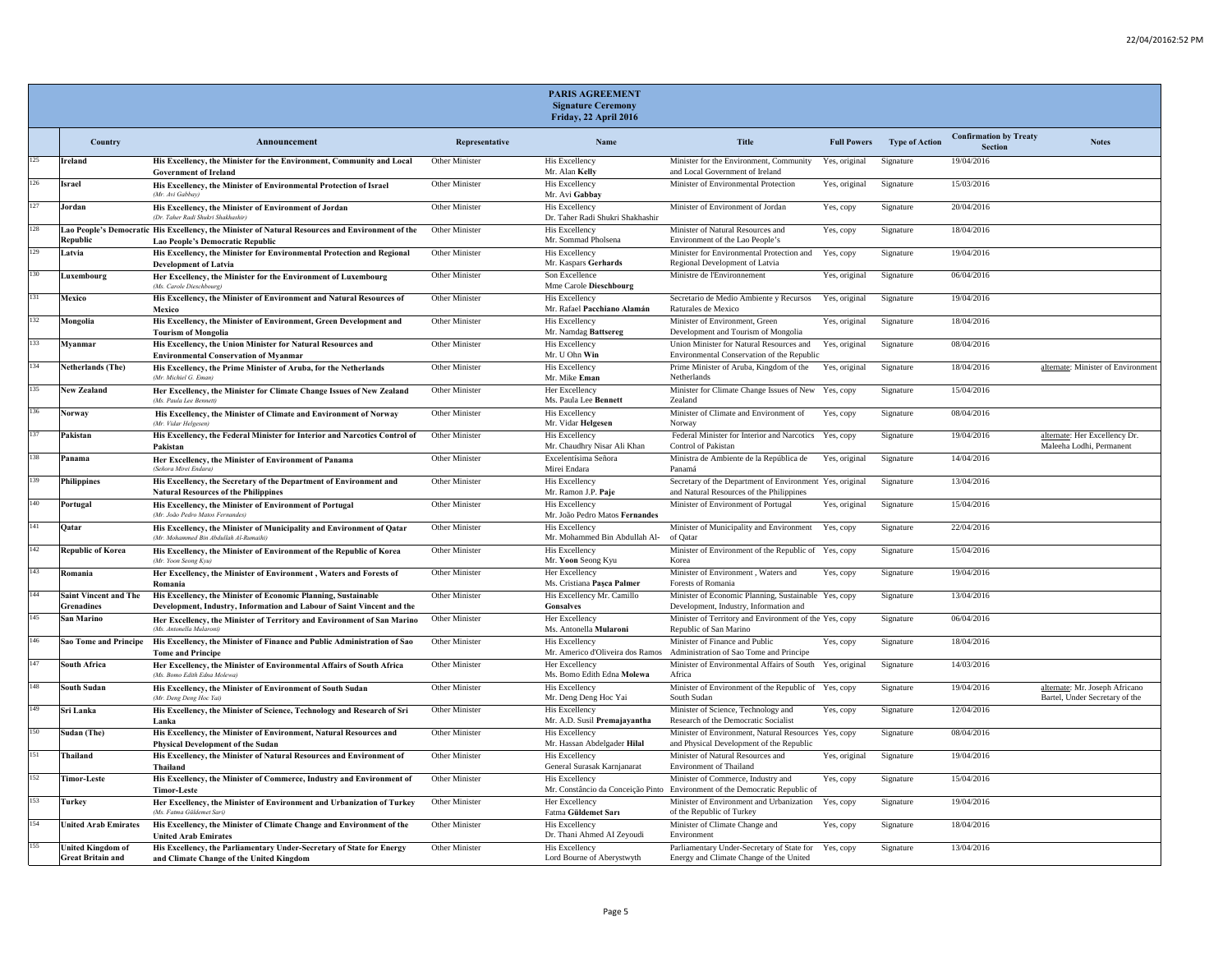|     |                                                   |                                                                                                                                          |                       | <b>PARIS AGREEMENT</b><br><b>Signature Ceremony</b><br>Friday, 22 April 2016 |                                                                                                                   |                    |                       |                                                 |                                                                  |
|-----|---------------------------------------------------|------------------------------------------------------------------------------------------------------------------------------------------|-----------------------|------------------------------------------------------------------------------|-------------------------------------------------------------------------------------------------------------------|--------------------|-----------------------|-------------------------------------------------|------------------------------------------------------------------|
|     | Country                                           | Announcement                                                                                                                             | Representative        | Name                                                                         | Title                                                                                                             | <b>Full Powers</b> | <b>Type of Action</b> | <b>Confirmation by Treaty</b><br><b>Section</b> | <b>Notes</b>                                                     |
| 125 | <b>Ireland</b>                                    | His Excellency, the Minister for the Environment, Community and Local<br><b>Government of Ireland</b>                                    | Other Minister        | <b>His Excellency</b><br>Mr. Alan Kelly                                      | Minister for the Environment, Community<br>and Local Government of Ireland                                        | Yes, original      | Signature             | 19/04/2016                                      |                                                                  |
| 126 | Israel                                            | His Excellency, the Minister of Environmental Protection of Israel<br>(Mr. Avi Gabbay)                                                   | Other Minister        | <b>His Excellency</b><br>Mr. Avi Gabbay                                      | Minister of Environmental Protection                                                                              | Yes, original      | Signature             | 15/03/2016                                      |                                                                  |
| 127 | Jordan                                            | His Excellency, the Minister of Environment of Jordan<br>(Dr. Taher Radi Shukri Shakhashir)                                              | Other Minister        | His Excellency<br>Dr. Taher Radi Shukri Shakhashir                           | Minister of Environment of Jordan                                                                                 | Yes, copy          | Signature             | 20/04/2016                                      |                                                                  |
| 128 | Republic                                          | Lao People's Democratic His Excellency, the Minister of Natural Resources and Environment of the<br>Lao People's Democratic Republic     | Other Minister        | <b>His Excellency</b><br>Mr. Sommad Pholsena                                 | Minister of Natural Resources and<br>Environment of the Lao People's                                              | Yes, copy          | Signature             | 18/04/2016                                      |                                                                  |
| 129 | Latvia                                            | His Excellency, the Minister for Environmental Protection and Regional<br><b>Development of Latvia</b>                                   | Other Minister        | <b>His Excellency</b><br>Mr. Kaspars Gerhards                                | Minister for Environmental Protection and<br>Regional Development of Latvia                                       | Yes, copy          | Signature             | 19/04/2016                                      |                                                                  |
| 130 | Luxembourg                                        | Her Excellency, the Minister for the Environment of Luxembourg<br>(Ms. Carole Dieschbourg)                                               | Other Minister        | Son Excellence<br>Mme Carole Dieschbourg                                     | Ministre de l'Environnement                                                                                       | Yes, original      | Signature             | 06/04/2016                                      |                                                                  |
| 131 | Mexico                                            | His Excellency, the Minister of Environment and Natural Resources of<br>Mexico                                                           | Other Minister        | His Excellency<br>Mr. Rafael Pacchiano Alamán                                | Secretario de Medio Ambiente y Recursos<br>Raturales de Mexico                                                    | Yes, original      | Signature             | 19/04/2016                                      |                                                                  |
| 132 | Mongolia                                          | His Excellency, the Minister of Environment, Green Development and<br><b>Tourism of Mongolia</b>                                         | Other Minister        | His Excellency<br>Mr. Namdag Battsereg                                       | Minister of Environment, Green<br>Development and Tourism of Mongolia                                             | Yes, original      | Signature             | 18/04/2016                                      |                                                                  |
| 133 | Myanmar                                           | His Excellency, the Union Minister for Natural Resources and<br><b>Environmental Conservation of Myanmar</b>                             | Other Minister        | His Excellency<br>Mr. U Ohn Win                                              | Union Minister for Natural Resources and<br>Environmental Conservation of the Republic                            | Yes, original      | Signature             | 08/04/2016                                      |                                                                  |
| 134 | Netherlands (The)                                 | His Excellency, the Prime Minister of Aruba, for the Netherlands<br>(Mr. Michiel G. Eman)                                                | Other Minister        | His Excellency<br>Mr. Mike Eman                                              | Prime Minister of Aruba, Kingdom of the<br>Netherlands                                                            | Yes, original      | Signature             | 18/04/2016                                      | alternate: Minister of Environment                               |
| 135 | <b>New Zealand</b>                                | Her Excellency, the Minister for Climate Change Issues of New Zealand<br>(Ms. Paula Lee Bennett                                          | Other Minister        | Her Excellency<br>Ms. Paula Lee Bennett                                      | Minister for Climate Change Issues of New Yes, copy<br>Zealand                                                    |                    | Signature             | 15/04/2016                                      |                                                                  |
| 136 | Norway                                            | His Excellency, the Minister of Climate and Environment of Norway<br>(Mr. Vidar Helgesen)                                                | <b>Other Minister</b> | <b>His Excellency</b><br>Mr. Vidar Helgesen                                  | Minister of Climate and Environment of<br>Norway                                                                  | Yes, copy          | Signature             | 08/04/2016                                      |                                                                  |
| 137 | Pakistan                                          | His Excellency, the Federal Minister for Interior and Narcotics Control of<br>Pakistan                                                   | Other Minister        | <b>His Excellency</b><br>Mr. Chaudhry Nisar Ali Khan                         | Federal Minister for Interior and Narcotics<br>Control of Pakistan                                                | Yes, copy          | Signature             | 19/04/2016                                      | alternate: Her Excellency Dr.<br>Maleeha Lodhi, Permanent        |
| 138 | Panama                                            | Her Excellency, the Minister of Environment of Panama<br>(Señora Mirei Endara                                                            | Other Minister        | Excelentísima Señora<br>Mirei Endara                                         | Ministra de Ambiente de la República de<br>Panamá                                                                 | Yes, original      | Signature             | 14/04/2016                                      |                                                                  |
| 139 | <b>Philippines</b>                                | His Excellency, the Secretary of the Department of Environment and<br><b>Natural Resources of the Philippines</b>                        | Other Minister        | His Excellency<br>Mr. Ramon J.P. Paje                                        | Secretary of the Department of Environment Yes, original<br>and Natural Resources of the Philippines              |                    | Signature             | 13/04/2016                                      |                                                                  |
| 140 | Portugal                                          | His Excellency, the Minister of Environment of Portugal<br>(Mr. João Pedro Matos Fernandes                                               | Other Minister        | <b>His Excellency</b><br>Mr. João Pedro Matos Fernandes                      | Minister of Environment of Portugal                                                                               | Yes, original      | Signature             | 15/04/2016                                      |                                                                  |
| 141 | Oatar                                             | His Excellency, the Minister of Municipality and Environment of Qatar<br>(Mr. Mohammed Bin Abdullah Al-Rumaihi                           | Other Minister        | His Excellency<br>Mr. Mohammed Bin Abdullah Al-                              | Minister of Municipality and Environment<br>of Qatar                                                              | Yes, copy          | Signature             | 22/04/2016                                      |                                                                  |
| 142 | <b>Republic of Korea</b>                          | His Excellency, the Minister of Environment of the Republic of Korea<br>(Mr. Yoon Seong Kyu)                                             | Other Minister        | His Excellency<br>Mr. Yoon Seong Kyu                                         | Minister of Environment of the Republic of Yes, copy<br>Korea                                                     |                    | Signature             | 15/04/2016                                      |                                                                  |
| 143 | Romania                                           | Her Excellency, the Minister of Environment, Waters and Forests of<br>Romania                                                            | Other Minister        | Her Excellency<br>Ms. Cristiana Pașca Palmer                                 | Minister of Environment, Waters and<br>Forests of Romania                                                         | Yes, copy          | Signature             | 19/04/2016                                      |                                                                  |
| 144 | <b>Saint Vincent and The</b><br><b>Grenadines</b> | His Excellency, the Minister of Economic Planning, Sustainable<br>Development, Industry, Information and Labour of Saint Vincent and the | Other Minister        | His Excellency Mr. Camillo<br><b>Gonsalves</b>                               | Minister of Economic Planning, Sustainable Yes, copy<br>Development, Industry, Information and                    |                    | Signature             | 13/04/2016                                      |                                                                  |
| 145 | San Marino                                        | Her Excellency, the Minister of Territory and Environment of San Marino<br>(Ms. Antonella Mularoni)                                      | Other Minister        | Her Excellency<br>Ms. Antonella Mularoni                                     | Minister of Territory and Environment of the Yes, copy<br>Republic of San Marino                                  |                    | Signature             | 06/04/2016                                      |                                                                  |
| 146 |                                                   | Sao Tome and Principe His Excellency, the Minister of Finance and Public Administration of Sao<br><b>Tome and Principe</b>               | Other Minister        | <b>His Excellency</b>                                                        | Minister of Finance and Public<br>Mr. Americo d'Oliveira dos Ramos Administration of Sao Tome and Principe        | Yes, copy          | Signature             | 18/04/2016                                      |                                                                  |
| 147 | South Africa                                      | Her Excellency, the Minister of Environmental Affairs of South Africa<br>(Ms. Bomo Edith Edna Molewa)                                    | Other Minister        | Her Excellency<br>Ms. Bomo Edith Edna Molewa                                 | Minister of Environmental Affairs of South Yes, original<br>Africa                                                |                    | Signature             | 14/03/2016                                      |                                                                  |
| 148 | South Sudan                                       | His Excellency, the Minister of Environment of South Sudan<br>(Mr. Deng Deng Hoc Yai)                                                    | Other Minister        | <b>His Excellency</b><br>Mr. Deng Deng Hoc Yai                               | Minister of Environment of the Republic of Yes, copy<br>South Sudan                                               |                    | Signature             | 19/04/2016                                      | alternate: Mr. Joseph Africano<br>Bartel, Under Secretary of the |
| 149 | Sri Lanka                                         | His Excellency, the Minister of Science, Technology and Research of Sri<br>Lanka                                                         | Other Minister        | His Excellency<br>Mr. A.D. Susil Premajayantha                               | Minister of Science, Technology and<br>Research of the Democratic Socialist                                       | Yes, copy          | Signature             | 12/04/2016                                      |                                                                  |
| 150 | Sudan (The)                                       | His Excellency, the Minister of Environment, Natural Resources and<br><b>Physical Development of the Sudan</b>                           | Other Minister        | His Excellency<br>Mr. Hassan Abdelgader Hilal                                | Minister of Environment, Natural Resources Yes, copy<br>and Physical Development of the Republic                  |                    | Signature             | 08/04/2016                                      |                                                                  |
| 151 | Thailand                                          | His Excellency, the Minister of Natural Resources and Environment of<br>Thailand                                                         | Other Minister        | <b>His Excellency</b><br>General Surasak Karnjanarat                         | Minister of Natural Resources and<br><b>Environment of Thailand</b>                                               | Yes, original      | Signature             | 19/04/2016                                      |                                                                  |
| 152 | <b>Timor-Leste</b>                                | His Excellency, the Minister of Commerce, Industry and Environment of<br><b>Timor-Leste</b>                                              | Other Minister        | <b>His Excellency</b>                                                        | Minister of Commerce, Industry and<br>Mr. Constâncio da Conceição Pinto Environment of the Democratic Republic of | Yes, copy          | Signature             | 15/04/2016                                      |                                                                  |
| 153 | Turkey                                            | Her Excellency, the Minister of Environment and Urbanization of Turkey<br>(Ms. Fatma Güldemet Sari)                                      | Other Minister        | Her Excellency<br>Fatma Güldemet Sarı                                        | Minister of Environment and Urbanization<br>of the Republic of Turkey                                             | Yes, copy          | Signature             | 19/04/2016                                      |                                                                  |
| 154 | <b>United Arab Emirates</b>                       | His Excellency, the Minister of Climate Change and Environment of the<br><b>United Arab Emirates</b>                                     | Other Minister        | His Excellency<br>Dr. Thani Ahmed AI Zeyoudi                                 | Minister of Climate Change and<br>Environment                                                                     | Yes, copy          | Signature             | 18/04/2016                                      |                                                                  |
| 155 | United Kingdom of<br><b>Great Britain and</b>     | His Excellency, the Parliamentary Under-Secretary of State for Energy<br>and Climate Change of the United Kingdom                        | Other Minister        | His Excellency<br>Lord Bourne of Aberystwyth                                 | Parliamentary Under-Secretary of State for<br>Energy and Climate Change of the United                             | Yes, copy          | Signature             | 13/04/2016                                      |                                                                  |